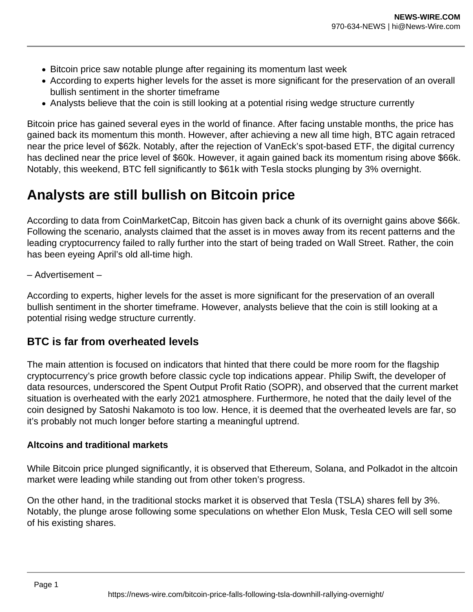- Bitcoin price saw notable plunge after regaining its momentum last week
- According to experts higher levels for the asset is more significant for the preservation of an overall bullish sentiment in the shorter timeframe
- Analysts believe that the coin is still looking at a potential rising wedge structure currently

Bitcoin price has gained several eyes in the world of finance. After facing unstable months, the price has gained back its momentum this month. However, after achieving a new all time high, BTC again retraced near the price level of \$62k. Notably, after the rejection of VanEck's spot-based ETF, the digital currency has declined near the price level of \$60k. However, it again gained back its momentum rising above \$66k. Notably, this weekend, BTC fell significantly to \$61k with Tesla stocks plunging by 3% overnight.

## **Analysts are still bullish on Bitcoin price**

According to data from CoinMarketCap, Bitcoin has given back a chunk of its overnight gains above \$66k. Following the scenario, analysts claimed that the asset is in moves away from its recent patterns and the leading cryptocurrency failed to rally further into the start of being traded on Wall Street. Rather, the coin has been eyeing April's old all-time high.

## – Advertisement –

According to experts, higher levels for the asset is more significant for the preservation of an overall bullish sentiment in the shorter timeframe. However, analysts believe that the coin is still looking at a potential rising wedge structure currently.

## **BTC is far from overheated levels**

The main attention is focused on indicators that hinted that there could be more room for the flagship cryptocurrency's price growth before classic cycle top indications appear. Philip Swift, the developer of data resources, underscored the Spent Output Profit Ratio (SOPR), and observed that the current market situation is overheated with the early 2021 atmosphere. Furthermore, he noted that the daily level of the coin designed by Satoshi Nakamoto is too low. Hence, it is deemed that the overheated levels are far, so it's probably not much longer before starting a meaningful uptrend.

## **Altcoins and traditional markets**

While Bitcoin price plunged significantly, it is observed that Ethereum, Solana, and Polkadot in the altcoin market were leading while standing out from other token's progress.

On the other hand, in the traditional stocks market it is observed that Tesla (TSLA) shares fell by 3%. Notably, the plunge arose following some speculations on whether Elon Musk, Tesla CEO will sell some of his existing shares.